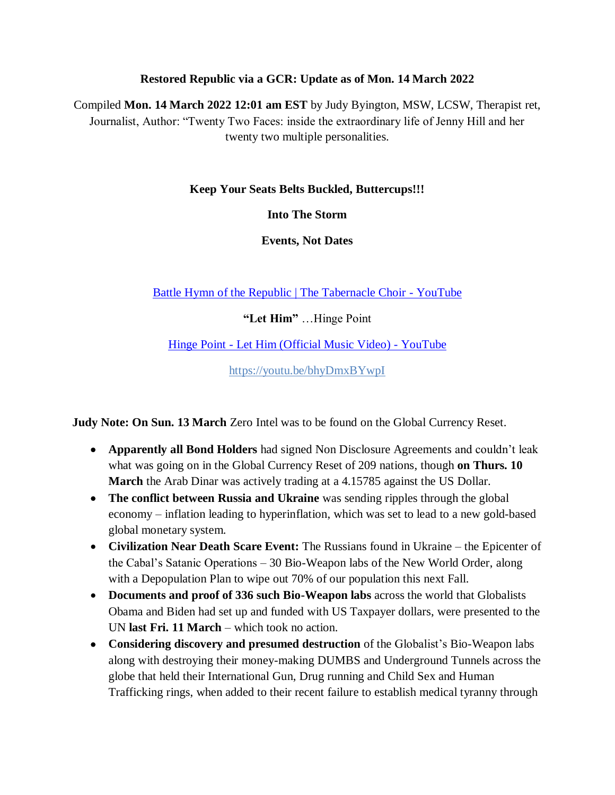#### **Restored Republic via a GCR: Update as of Mon. 14 March 2022**

Compiled **Mon. 14 March 2022 12:01 am EST** by Judy Byington, MSW, LCSW, Therapist ret, Journalist, Author: "Twenty Two Faces: inside the extraordinary life of Jenny Hill and her twenty two multiple personalities.

#### **Keep Your Seats Belts Buckled, Buttercups!!!**

**Into The Storm**

**Events, Not Dates**

[Battle Hymn of the Republic | The Tabernacle Choir -](https://www.youtube.com/watch?v=QSiVjlknuSw) YouTube

**"Let Him"** …Hinge Point

Hinge Point - [Let Him \(Official Music Video\) -](https://www.youtube.com/watch?v=bhyDmxBYwpI) YouTube

<https://youtu.be/bhyDmxBYwpI>

**Judy Note: On Sun. 13 March** Zero Intel was to be found on the Global Currency Reset.

- **Apparently all Bond Holders** had signed Non Disclosure Agreements and couldn"t leak what was going on in the Global Currency Reset of 209 nations, though **on Thurs. 10 March** the Arab Dinar was actively trading at a 4.15785 against the US Dollar.
- **The conflict between Russia and Ukraine** was sending ripples through the global economy – inflation leading to hyperinflation, which was set to lead to a new gold-based global monetary system.
- **Civilization Near Death Scare Event:** The Russians found in Ukraine the Epicenter of the Cabal"s Satanic Operations – 30 Bio-Weapon labs of the New World Order, along with a Depopulation Plan to wipe out 70% of our population this next Fall.
- **Documents and proof of 336 such Bio-Weapon labs** across the world that Globalists Obama and Biden had set up and funded with US Taxpayer dollars, were presented to the UN **last Fri. 11 March** – which took no action.
- **Considering discovery and presumed destruction** of the Globalist"s Bio-Weapon labs along with destroying their money-making DUMBS and Underground Tunnels across the globe that held their International Gun, Drug running and Child Sex and Human Trafficking rings, when added to their recent failure to establish medical tyranny through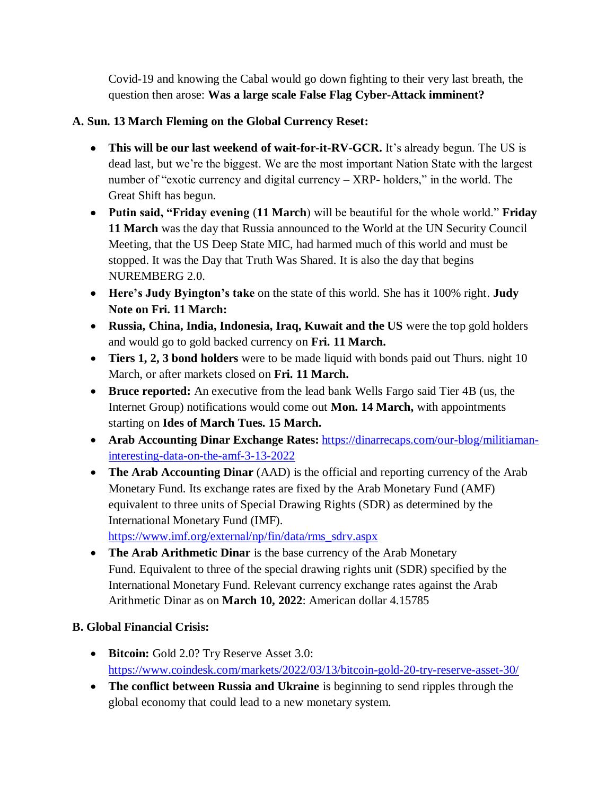Covid-19 and knowing the Cabal would go down fighting to their very last breath, the question then arose: **Was a large scale False Flag Cyber-Attack imminent?**

# **A. Sun. 13 March Fleming on the Global Currency Reset:**

- This will be our last weekend of wait-for-it-RV-GCR. It's already begun. The US is dead last, but we"re the biggest. We are the most important Nation State with the largest number of "exotic currency and digital currency – XRP- holders," in the world. The Great Shift has begun.
- **Putin said, "Friday evening** (**11 March**) will be beautiful for the whole world." **Friday 11 March** was the day that Russia announced to the World at the UN Security Council Meeting, that the US Deep State MIC, had harmed much of this world and must be stopped. It was the Day that Truth Was Shared. It is also the day that begins NUREMBERG 2.0.
- **Here's Judy Byington's take** on the state of this world. She has it 100% right. **Judy Note on Fri. 11 March:**
- **Russia, China, India, Indonesia, Iraq, Kuwait and the US** were the top gold holders and would go to gold backed currency on **Fri. 11 March.**
- **Tiers 1, 2, 3 bond holders** were to be made liquid with bonds paid out Thurs. night 10 March, or after markets closed on **Fri. 11 March.**
- **Bruce reported:** An executive from the lead bank Wells Fargo said Tier 4B (us, the Internet Group) notifications would come out **Mon. 14 March,** with appointments starting on **Ides of March Tues. 15 March.**
- **Arab Accounting Dinar Exchange Rates:** [https://dinarrecaps.com/our-blog/militiaman](https://dinarrecaps.com/our-blog/militiaman-interesting-data-on-the-amf-3-13-2022)[interesting-data-on-the-amf-3-13-2022](https://dinarrecaps.com/our-blog/militiaman-interesting-data-on-the-amf-3-13-2022)
- **The Arab Accounting Dinar** (AAD) is the official and reporting currency of the Arab Monetary Fund. Its exchange rates are fixed by the Arab Monetary Fund (AMF) equivalent to three units of Special Drawing Rights (SDR) as determined by the International Monetary Fund (IMF).

[https://www.imf.org/external/np/fin/data/rms\\_sdrv.aspx](https://www.imf.org/external/np/fin/data/rms_sdrv.aspx)

 **The Arab Arithmetic Dinar** is the base currency of the Arab Monetary Fund. Equivalent to three of the special drawing rights unit (SDR) specified by the International Monetary Fund. Relevant currency exchange rates against the Arab Arithmetic Dinar as on **March 10, 2022**: American dollar 4.15785

# **B. Global Financial Crisis:**

- **Bitcoin:** Gold 2.0? Try Reserve Asset 3.0: <https://www.coindesk.com/markets/2022/03/13/bitcoin-gold-20-try-reserve-asset-30/>
- **The conflict between Russia and Ukraine** is beginning to send ripples through the global economy that could lead to a new monetary system.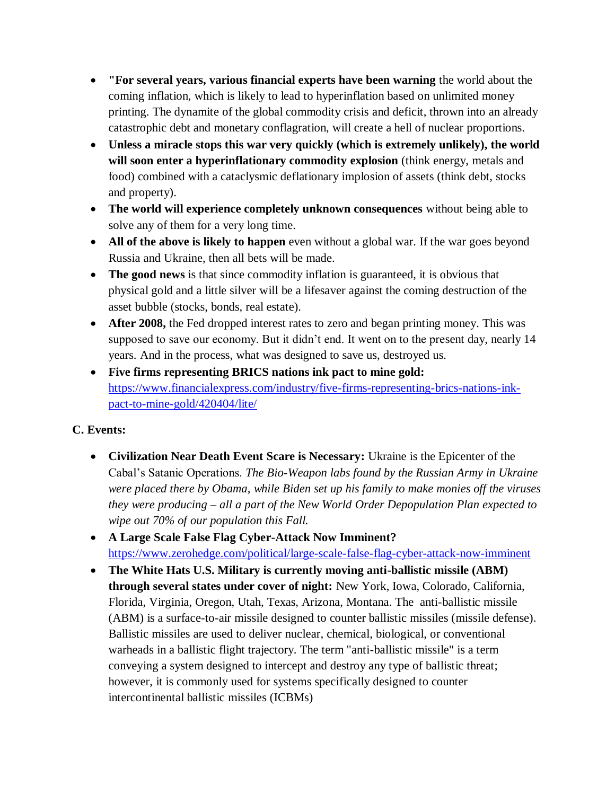- **"For several years, various financial experts have been warning** the world about the coming inflation, which is likely to lead to hyperinflation based on unlimited money printing. The dynamite of the global commodity crisis and deficit, thrown into an already catastrophic debt and monetary conflagration, will create a hell of nuclear proportions.
- **Unless a miracle stops this war very quickly (which is extremely unlikely), the world will soon enter a hyperinflationary commodity explosion** (think energy, metals and food) combined with a cataclysmic deflationary implosion of assets (think debt, stocks and property).
- **The world will experience completely unknown consequences** without being able to solve any of them for a very long time.
- All of the above is likely to happen even without a global war. If the war goes beyond Russia and Ukraine, then all bets will be made.
- **The good news** is that since commodity inflation is guaranteed, it is obvious that physical gold and a little silver will be a lifesaver against the coming destruction of the asset bubble (stocks, bonds, real estate).
- **After 2008,** the Fed dropped interest rates to zero and began printing money. This was supposed to save our economy. But it didn"t end. It went on to the present day, nearly 14 years. And in the process, what was designed to save us, destroyed us.
- **Five firms representing BRICS nations ink pact to mine gold:**  [https://www.financialexpress.com/industry/five-firms-representing-brics-nations-ink](https://www.financialexpress.com/industry/five-firms-representing-brics-nations-ink-pact-to-mine-gold/420404/lite/)[pact-to-mine-gold/420404/lite/](https://www.financialexpress.com/industry/five-firms-representing-brics-nations-ink-pact-to-mine-gold/420404/lite/)

## **C. Events:**

- **Civilization Near Death Event Scare is Necessary:** Ukraine is the Epicenter of the Cabal"s Satanic Operations. *The Bio-Weapon labs found by the Russian Army in Ukraine were placed there by Obama, while Biden set up his family to make monies off the viruses they were producing – all a part of the New World Order Depopulation Plan expected to wipe out 70% of our population this Fall.*
- **A Large Scale False Flag Cyber-Attack Now Imminent?**  <https://www.zerohedge.com/political/large-scale-false-flag-cyber-attack-now-imminent>
- **The White Hats U.S. Military is currently moving anti-ballistic missile (ABM) through several states under cover of night:** New York, Iowa, Colorado, California, Florida, Virginia, Oregon, Utah, Texas, Arizona, Montana. The anti-ballistic missile (ABM) is a surface-to-air missile designed to counter ballistic missiles (missile defense). Ballistic missiles are used to deliver nuclear, chemical, biological, or conventional warheads in a ballistic flight trajectory. The term "anti-ballistic missile" is a term conveying a system designed to intercept and destroy any type of ballistic threat; however, it is commonly used for systems specifically designed to counter intercontinental ballistic missiles (ICBMs)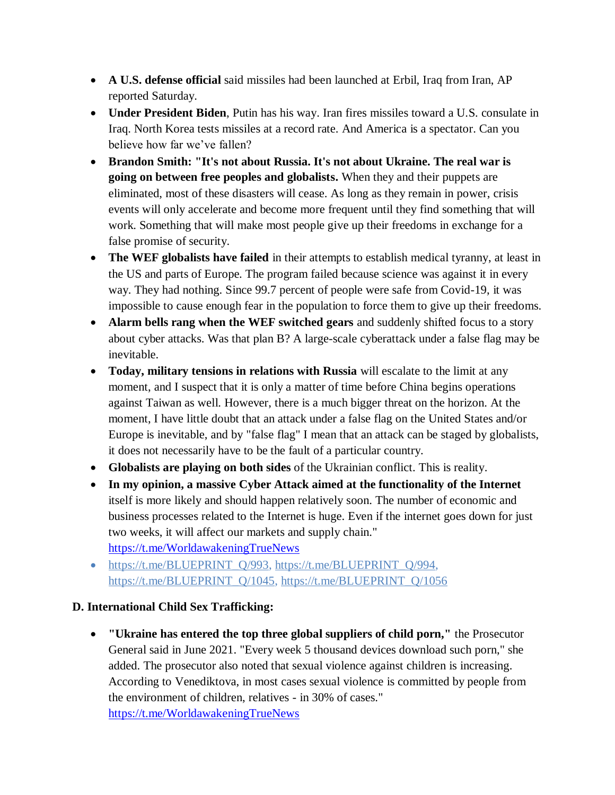- **A U.S. defense official** said missiles had been launched at Erbil, Iraq from Iran, AP reported Saturday.
- **Under President Biden**, Putin has his way. Iran fires missiles toward a U.S. consulate in Iraq. North Korea tests missiles at a record rate. And America is a spectator. Can you believe how far we've fallen?
- **Brandon Smith: "It's not about Russia. It's not about Ukraine. The real war is going on between free peoples and globalists.** When they and their puppets are eliminated, most of these disasters will cease. As long as they remain in power, crisis events will only accelerate and become more frequent until they find something that will work. Something that will make most people give up their freedoms in exchange for a false promise of security.
- **The WEF globalists have failed** in their attempts to establish medical tyranny, at least in the US and parts of Europe. The program failed because science was against it in every way. They had nothing. Since 99.7 percent of people were safe from Covid-19, it was impossible to cause enough fear in the population to force them to give up their freedoms.
- **Alarm bells rang when the WEF switched gears** and suddenly shifted focus to a story about cyber attacks. Was that plan B? A large-scale cyberattack under a false flag may be inevitable.
- **Today, military tensions in relations with Russia** will escalate to the limit at any moment, and I suspect that it is only a matter of time before China begins operations against Taiwan as well. However, there is a much bigger threat on the horizon. At the moment, I have little doubt that an attack under a false flag on the United States and/or Europe is inevitable, and by "false flag" I mean that an attack can be staged by globalists, it does not necessarily have to be the fault of a particular country.
- **Globalists are playing on both sides** of the Ukrainian conflict. This is reality.
- **In my opinion, a massive Cyber Attack aimed at the functionality of the Internet** itself is more likely and should happen relatively soon. The number of economic and business processes related to the Internet is huge. Even if the internet goes down for just two weeks, it will affect our markets and supply chain." <https://t.me/WorldawakeningTrueNews>
- https://t.me/BLUEPRINT\_0/993, https://t.me/BLUEPRINT\_0/994, [https://t.me/BLUEPRINT\\_Q/1045,](https://t.me/BLUEPRINT_Q/1045) [https://t.me/BLUEPRINT\\_Q/1056](https://t.me/BLUEPRINT_Q/1056)

## **D. International Child Sex Trafficking:**

 **"Ukraine has entered the top three global suppliers of child porn,"** the Prosecutor General said in June 2021. "Every week 5 thousand devices download such porn," she added. The prosecutor also noted that sexual violence against children is increasing. According to Venediktova, in most cases sexual violence is committed by people from the environment of children, relatives - in 30% of cases." <https://t.me/WorldawakeningTrueNews>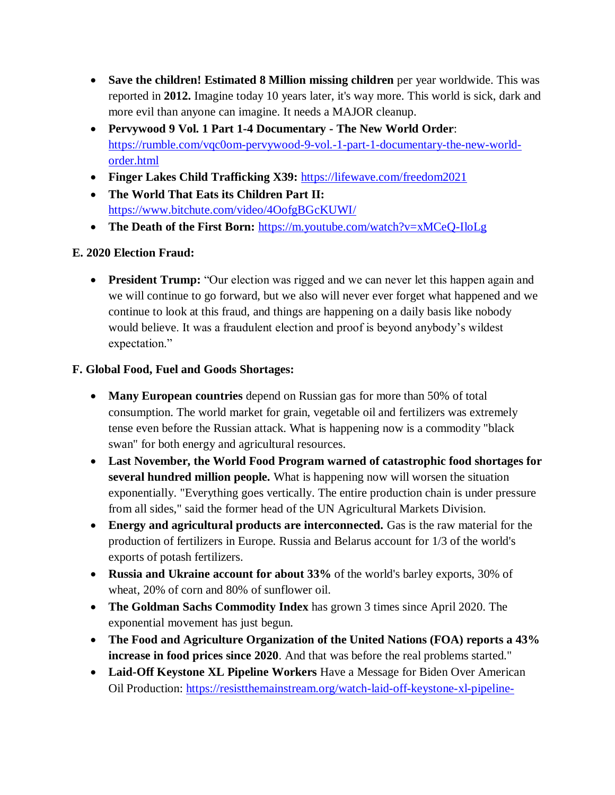- **Save the children! Estimated 8 Million missing children** per year worldwide. This was reported in **2012.** Imagine today 10 years later, it's way more. This world is sick, dark and more evil than anyone can imagine. It needs a MAJOR cleanup.
- **Pervywood 9 Vol. 1 Part 1-4 Documentary - The New World Order**: [https://rumble.com/vqc0om-pervywood-9-vol.-1-part-1-documentary-the-new-world](https://rumble.com/vqc0om-pervywood-9-vol.-1-part-1-documentary-the-new-world-order.html)[order.html](https://rumble.com/vqc0om-pervywood-9-vol.-1-part-1-documentary-the-new-world-order.html)
- **Finger Lakes Child Trafficking X39:** <https://lifewave.com/freedom2021>
- **The World That Eats its Children Part II:**  <https://www.bitchute.com/video/4OofgBGcKUWI/>
- **The Death of the First Born:** <https://m.youtube.com/watch?v=xMCeQ-IloLg>

# **E. 2020 Election Fraud:**

**President Trump:** "Our election was rigged and we can never let this happen again and we will continue to go forward, but we also will never ever forget what happened and we continue to look at this fraud, and things are happening on a daily basis like nobody would believe. It was a fraudulent election and proof is beyond anybody"s wildest expectation."

# **F. Global Food, Fuel and Goods Shortages:**

- **Many European countries** depend on Russian gas for more than 50% of total consumption. The world market for grain, vegetable oil and fertilizers was extremely tense even before the Russian attack. What is happening now is a commodity "black swan" for both energy and agricultural resources.
- **Last November, the World Food Program warned of catastrophic food shortages for several hundred million people.** What is happening now will worsen the situation exponentially. "Everything goes vertically. The entire production chain is under pressure from all sides," said the former head of the UN Agricultural Markets Division.
- **Energy and agricultural products are interconnected.** Gas is the raw material for the production of fertilizers in Europe. Russia and Belarus account for 1/3 of the world's exports of potash fertilizers.
- **Russia and Ukraine account for about 33%** of the world's barley exports, 30% of wheat, 20% of corn and 80% of sunflower oil.
- **The Goldman Sachs Commodity Index** has grown 3 times since April 2020. The exponential movement has just begun.
- **The Food and Agriculture Organization of the United Nations (FOA) reports a 43% increase in food prices since 2020**. And that was before the real problems started."
- **Laid-Off Keystone XL Pipeline Workers** Have a Message for Biden Over American Oil Production: [https://resistthemainstream.org/watch-laid-off-keystone-xl-pipeline-](https://resistthemainstream.org/watch-laid-off-keystone-xl-pipeline-workers-have-a-message-for-biden-over-american-oil-production-put-us-to-work-right-now/?utm_source=telegram)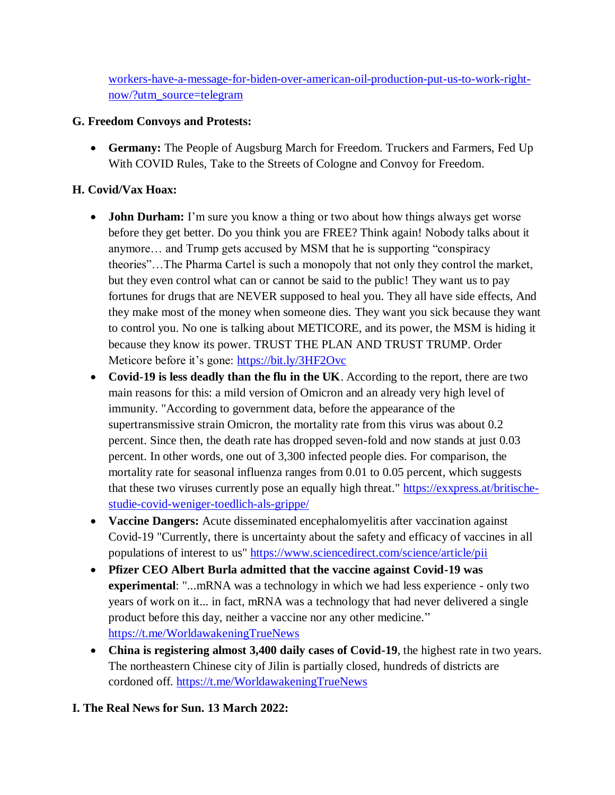[workers-have-a-message-for-biden-over-american-oil-production-put-us-to-work-right](https://resistthemainstream.org/watch-laid-off-keystone-xl-pipeline-workers-have-a-message-for-biden-over-american-oil-production-put-us-to-work-right-now/?utm_source=telegram)[now/?utm\\_source=telegram](https://resistthemainstream.org/watch-laid-off-keystone-xl-pipeline-workers-have-a-message-for-biden-over-american-oil-production-put-us-to-work-right-now/?utm_source=telegram)

### **G. Freedom Convoys and Protests:**

 **Germany:** The People of Augsburg March for Freedom. Truckers and Farmers, Fed Up With COVID Rules, Take to the Streets of Cologne and Convoy for Freedom.

## **H. Covid/Vax Hoax:**

- **John Durham:** I'm sure you know a thing or two about how things always get worse before they get better. Do you think you are FREE? Think again! Nobody talks about it anymore… and Trump gets accused by MSM that he is supporting "conspiracy theories"…The Pharma Cartel is such a monopoly that not only they control the market, but they even control what can or cannot be said to the public! They want us to pay fortunes for drugs that are NEVER supposed to heal you. They all have side effects, And they make most of the money when someone dies. They want you sick because they want to control you. No one is talking about METICORE, and its power, the MSM is hiding it because they know its power. TRUST THE PLAN AND TRUST TRUMP. Order Meticore before it's gone: <https://bit.ly/3HF2Ovc>
- **Covid-19 is less deadly than the flu in the UK**. According to the report, there are two main reasons for this: a mild version of Omicron and an already very high level of immunity. "According to government data, before the appearance of the supertransmissive strain Omicron, the mortality rate from this virus was about 0.2 percent. Since then, the death rate has dropped seven-fold and now stands at just 0.03 percent. In other words, one out of 3,300 infected people dies. For comparison, the mortality rate for seasonal influenza ranges from 0.01 to 0.05 percent, which suggests that these two viruses currently pose an equally high threat." [https://exxpress.at/britische](https://exxpress.at/britische-studie-covid-weniger-toedlich-als-grippe/)[studie-covid-weniger-toedlich-als-grippe/](https://exxpress.at/britische-studie-covid-weniger-toedlich-als-grippe/)
- **Vaccine Dangers:** Acute disseminated encephalomyelitis after vaccination against Covid-19 "Currently, there is uncertainty about the safety and efficacy of vaccines in all populations of interest to us" <https://www.sciencedirect.com/science/article/pii>
- **Pfizer CEO Albert Burla admitted that the vaccine against Covid-19 was experimental:** "...mRNA was a technology in which we had less experience - only two years of work on it... in fact, mRNA was a technology that had never delivered a single product before this day, neither a vaccine nor any other medicine." <https://t.me/WorldawakeningTrueNews>
- **China is registering almost 3,400 daily cases of Covid-19**, the highest rate in two years. The northeastern Chinese city of Jilin is partially closed, hundreds of districts are cordoned off. <https://t.me/WorldawakeningTrueNews>

#### **I. The Real News for Sun. 13 March 2022:**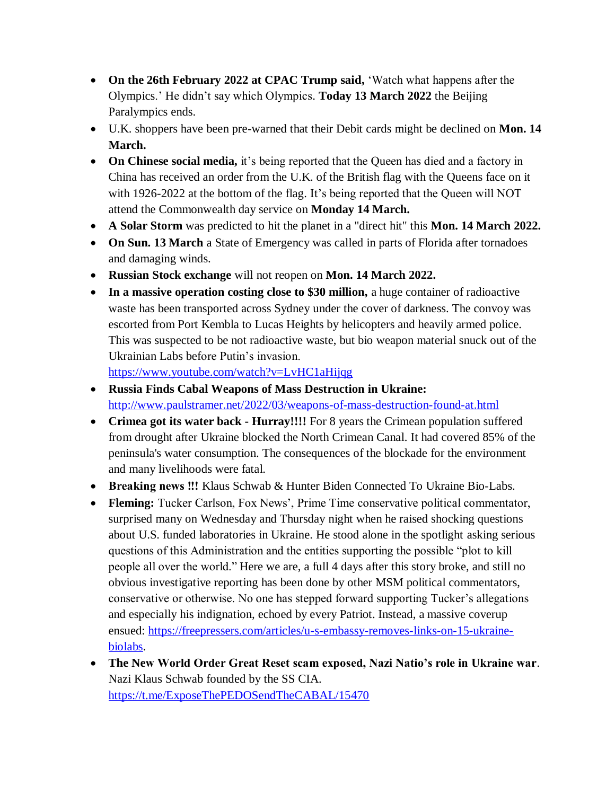- **On the 26th February 2022 at CPAC Trump said,** "Watch what happens after the Olympics." He didn"t say which Olympics. **Today 13 March 2022** the Beijing Paralympics ends.
- U.K. shoppers have been pre-warned that their Debit cards might be declined on **Mon. 14 March.**
- On Chinese social media, it's being reported that the Queen has died and a factory in China has received an order from the U.K. of the British flag with the Queens face on it with 1926-2022 at the bottom of the flag. It's being reported that the Queen will NOT attend the Commonwealth day service on **Monday 14 March.**
- **A Solar Storm** was predicted to hit the planet in a "direct hit" this **Mon. 14 March 2022.**
- **On Sun. 13 March** a State of Emergency was called in parts of Florida after tornadoes and damaging winds.
- **Russian Stock exchange** will not reopen on **Mon. 14 March 2022.**
- **In a massive operation costing close to \$30 million,** a huge container of radioactive waste has been transported across Sydney under the cover of darkness. The convoy was escorted from Port Kembla to Lucas Heights by helicopters and heavily armed police. This was suspected to be not radioactive waste, but bio weapon material snuck out of the Ukrainian Labs before Putin"s invasion.

<https://www.youtube.com/watch?v=LvHC1aHijqg>

- **Russia Finds Cabal Weapons of Mass Destruction in Ukraine:**  <http://www.paulstramer.net/2022/03/weapons-of-mass-destruction-found-at.html>
- **Crimea got its water back - Hurray!!!!** For 8 years the Crimean population suffered from drought after Ukraine blocked the North Crimean Canal. It had covered 85% of the peninsula's water consumption. The consequences of the blockade for the environment and many livelihoods were fatal.
- **Breaking news !!!** Klaus Schwab & Hunter Biden Connected To Ukraine Bio-Labs.
- Fleming: Tucker Carlson, Fox News', Prime Time conservative political commentator, surprised many on Wednesday and Thursday night when he raised shocking questions about U.S. funded laboratories in Ukraine. He stood alone in the spotlight asking serious questions of this Administration and the entities supporting the possible "plot to kill people all over the world." Here we are, a full 4 days after this story broke, and still no obvious investigative reporting has been done by other MSM political commentators, conservative or otherwise. No one has stepped forward supporting Tucker"s allegations and especially his indignation, echoed by every Patriot. Instead, a massive coverup ensued: [https://freepressers.com/articles/u-s-embassy-removes-links-on-15-ukraine](https://freepressers.com/articles/u-s-embassy-removes-links-on-15-ukraine-biolabs)[biolabs.](https://freepressers.com/articles/u-s-embassy-removes-links-on-15-ukraine-biolabs)
- **The New World Order Great Reset scam exposed, Nazi Natio's role in Ukraine war**. Nazi Klaus Schwab founded by the SS CIA. <https://t.me/ExposeThePEDOSendTheCABAL/15470>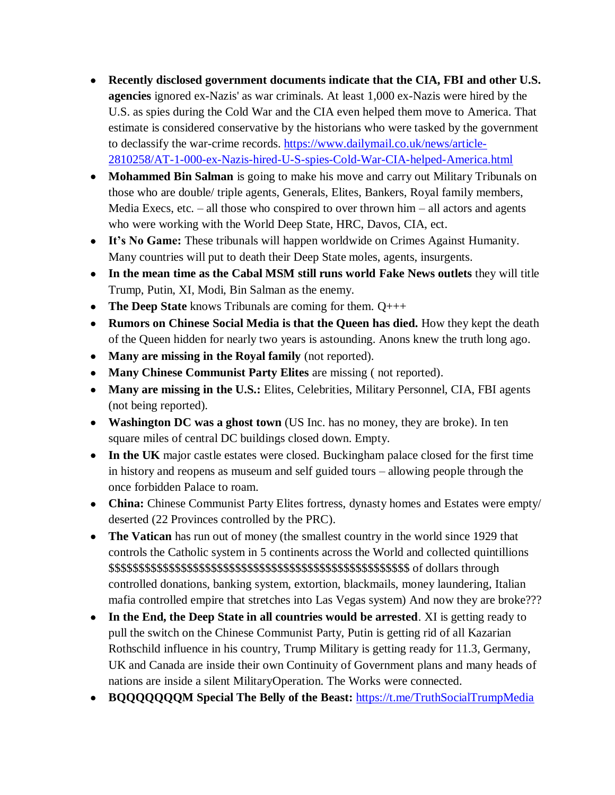- **Recently disclosed government documents indicate that the CIA, FBI and other U.S. agencies** ignored ex-Nazis' as war criminals. At least 1,000 ex-Nazis were hired by the U.S. as spies during the Cold War and the CIA even helped them move to America. That estimate is considered conservative by the historians who were tasked by the government to declassify the war-crime records. [https://www.dailymail.co.uk/news/article-](https://www.dailymail.co.uk/news/article-2810258/AT-1-000-ex-Nazis-hired-U-S-spies-Cold-War-CIA-helped-America.html)[2810258/AT-1-000-ex-Nazis-hired-U-S-spies-Cold-War-CIA-helped-America.html](https://www.dailymail.co.uk/news/article-2810258/AT-1-000-ex-Nazis-hired-U-S-spies-Cold-War-CIA-helped-America.html)
- **Mohammed Bin Salman** is going to make his move and carry out Military Tribunals on those who are double/ triple agents, Generals, Elites, Bankers, Royal family members, Media Execs, etc.  $-$  all those who conspired to over thrown him  $-$  all actors and agents who were working with the World Deep State, HRC, Davos, CIA, ect.
- **It's No Game:** These tribunals will happen worldwide on Crimes Against Humanity. Many countries will put to death their Deep State moles, agents, insurgents.
- **In the mean time as the Cabal MSM still runs world Fake News outlets** they will title Trump, Putin, XI, Modi, Bin Salman as the enemy.
- **The Deep State** knows Tribunals are coming for them. Q+++
- **Rumors on Chinese Social Media is that the Queen has died.** How they kept the death of the Queen hidden for nearly two years is astounding. Anons knew the truth long ago.
- **Many are missing in the Royal family** (not reported).
- **Many Chinese Communist Party Elites** are missing ( not reported).
- **Many are missing in the U.S.:** Elites, Celebrities, Military Personnel, CIA, FBI agents (not being reported).
- **Washington DC was a ghost town** (US Inc. has no money, they are broke). In ten square miles of central DC buildings closed down. Empty.
- **In the UK** major castle estates were closed. Buckingham palace closed for the first time in history and reopens as museum and self guided tours – allowing people through the once forbidden Palace to roam.
- **China:** Chinese Communist Party Elites fortress, dynasty homes and Estates were empty/ deserted (22 Provinces controlled by the PRC).
- **The Vatican** has run out of money (the smallest country in the world since 1929 that controls the Catholic system in 5 continents across the World and collected quintillions \$\$\$\$\$\$\$\$\$\$\$\$\$\$\$\$\$\$\$\$\$\$\$\$\$\$\$\$\$\$\$\$\$\$\$\$\$\$\$\$\$\$\$\$\$\$\$\$\$\$ of dollars through controlled donations, banking system, extortion, blackmails, money laundering, Italian mafia controlled empire that stretches into Las Vegas system) And now they are broke???
- **In the End, the Deep State in all countries would be arrested**. XI is getting ready to pull the switch on the Chinese Communist Party, Putin is getting rid of all Kazarian Rothschild influence in his country, Trump Military is getting ready for 11.3, Germany, UK and Canada are inside their own Continuity of Government plans and many heads of nations are inside a silent MilitaryOperation. The Works were connected.
- **BQQQQQQQM Special The Belly of the Beast:** <https://t.me/TruthSocialTrumpMedia>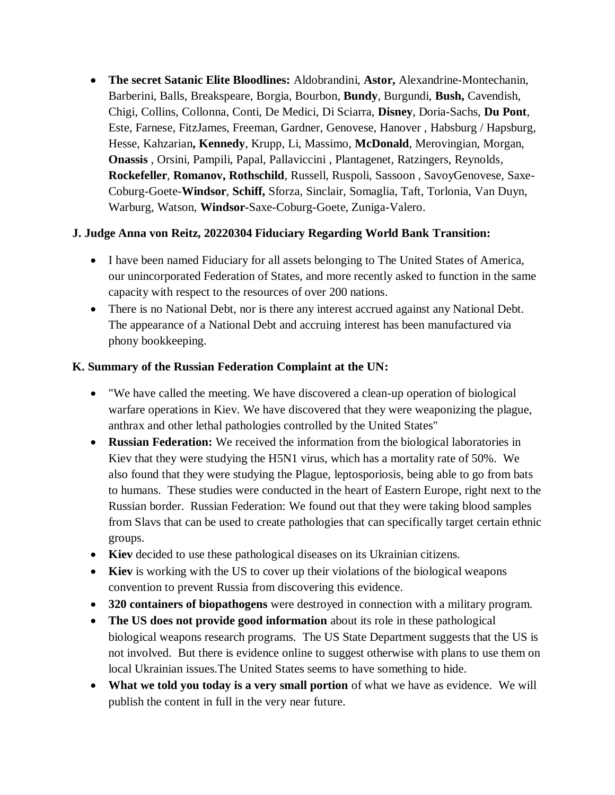**The secret Satanic Elite Bloodlines:** Aldobrandini, **Astor,** Alexandrine-Montechanin, Barberini, Balls, Breakspeare, Borgia, Bourbon, **Bundy**, Burgundi, **Bush,** Cavendish, Chigi, Collins, Collonna, Conti, De Medici, Di Sciarra, **Disney**, Doria-Sachs, **Du Pont**, Este, Farnese, FitzJames, Freeman, Gardner, Genovese, Hanover , Habsburg / Hapsburg, Hesse, Kahzarian**, Kennedy**, Krupp, Li, Massimo, **McDonald**, Merovingian, Morgan, **Onassis** , Orsini, Pampili, Papal, Pallaviccini , Plantagenet, Ratzingers, Reynolds, **Rockefeller**, **Romanov, Rothschild**, Russell, Ruspoli, Sassoon , SavoyGenovese, Saxe-Coburg-Goete-**Windsor**, **Schiff,** Sforza, Sinclair, Somaglia, Taft, Torlonia, Van Duyn, Warburg, Watson, **Windsor-**Saxe-Coburg-Goete, Zuniga-Valero.

### **J. Judge Anna von Reitz, 20220304 Fiduciary Regarding World Bank Transition:**

- I have been named Fiduciary for all assets belonging to The United States of America, our unincorporated Federation of States, and more recently asked to function in the same capacity with respect to the resources of over 200 nations.
- There is no National Debt, nor is there any interest accrued against any National Debt. The appearance of a National Debt and accruing interest has been manufactured via phony bookkeeping.

### **K. Summary of the Russian Federation Complaint at the UN:**

- "We have called the meeting. We have discovered a clean-up operation of biological warfare operations in Kiev. We have discovered that they were weaponizing the plague, anthrax and other lethal pathologies controlled by the United States"
- **Russian Federation:** We received the information from the biological laboratories in Kiev that they were studying the H5N1 virus, which has a mortality rate of 50%. We also found that they were studying the Plague, leptosporiosis, being able to go from bats to humans. These studies were conducted in the heart of Eastern Europe, right next to the Russian border. Russian Federation: We found out that they were taking blood samples from Slavs that can be used to create pathologies that can specifically target certain ethnic groups.
- **Kiev** decided to use these pathological diseases on its Ukrainian citizens.
- **Kiev** is working with the US to cover up their violations of the biological weapons convention to prevent Russia from discovering this evidence.
- **320 containers of biopathogens** were destroyed in connection with a military program.
- **The US does not provide good information** about its role in these pathological biological weapons research programs. The US State Department suggests that the US is not involved. But there is evidence online to suggest otherwise with plans to use them on local Ukrainian issues.The United States seems to have something to hide.
- **What we told you today is a very small portion** of what we have as evidence. We will publish the content in full in the very near future.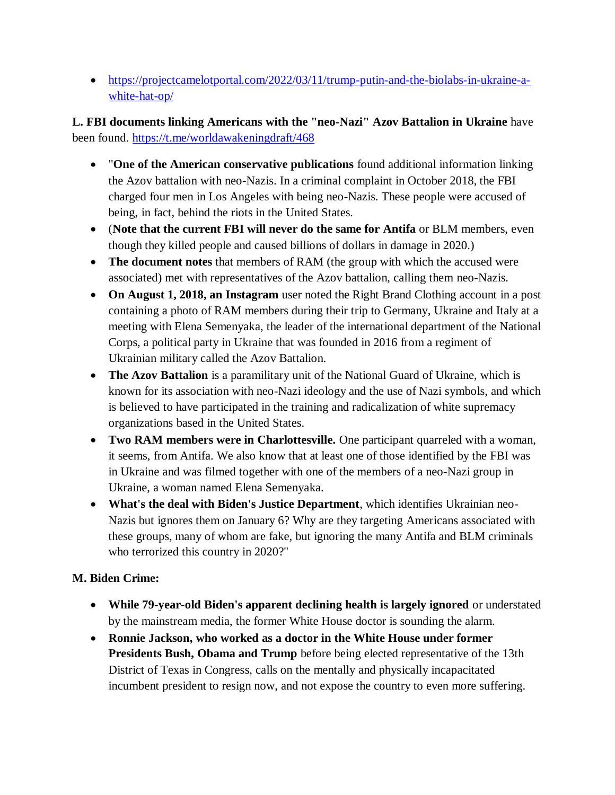[https://projectcamelotportal.com/2022/03/11/trump-putin-and-the-biolabs-in-ukraine-a](https://projectcamelotportal.com/2022/03/11/trump-putin-and-the-biolabs-in-ukraine-a-white-hat-op/)[white-hat-op/](https://projectcamelotportal.com/2022/03/11/trump-putin-and-the-biolabs-in-ukraine-a-white-hat-op/)

**L. FBI documents linking Americans with the "neo-Nazi" Azov Battalion in Ukraine** have been found.<https://t.me/worldawakeningdraft/468>

- "**One of the American conservative publications** found additional information linking the Azov battalion with neo-Nazis. In a criminal complaint in October 2018, the FBI charged four men in Los Angeles with being neo-Nazis. These people were accused of being, in fact, behind the riots in the United States.
- (**Note that the current FBI will never do the same for Antifa** or BLM members, even though they killed people and caused billions of dollars in damage in 2020.)
- **The document notes** that members of RAM (the group with which the accused were associated) met with representatives of the Azov battalion, calling them neo-Nazis.
- **On August 1, 2018, an Instagram** user noted the Right Brand Clothing account in a post containing a photo of RAM members during their trip to Germany, Ukraine and Italy at a meeting with Elena Semenyaka, the leader of the international department of the National Corps, a political party in Ukraine that was founded in 2016 from a regiment of Ukrainian military called the Azov Battalion.
- **The Azov Battalion** is a paramilitary unit of the National Guard of Ukraine, which is known for its association with neo-Nazi ideology and the use of Nazi symbols, and which is believed to have participated in the training and radicalization of white supremacy organizations based in the United States.
- **Two RAM members were in Charlottesville.** One participant quarreled with a woman, it seems, from Antifa. We also know that at least one of those identified by the FBI was in Ukraine and was filmed together with one of the members of a neo-Nazi group in Ukraine, a woman named Elena Semenyaka.
- **What's the deal with Biden's Justice Department**, which identifies Ukrainian neo-Nazis but ignores them on January 6? Why are they targeting Americans associated with these groups, many of whom are fake, but ignoring the many Antifa and BLM criminals who terrorized this country in 2020?"

## **M. Biden Crime:**

- **While 79-year-old Biden's apparent declining health is largely ignored** or understated by the mainstream media, the former White House doctor is sounding the alarm.
- **Ronnie Jackson, who worked as a doctor in the White House under former Presidents Bush, Obama and Trump** before being elected representative of the 13th District of Texas in Congress, calls on the mentally and physically incapacitated incumbent president to resign now, and not expose the country to even more suffering.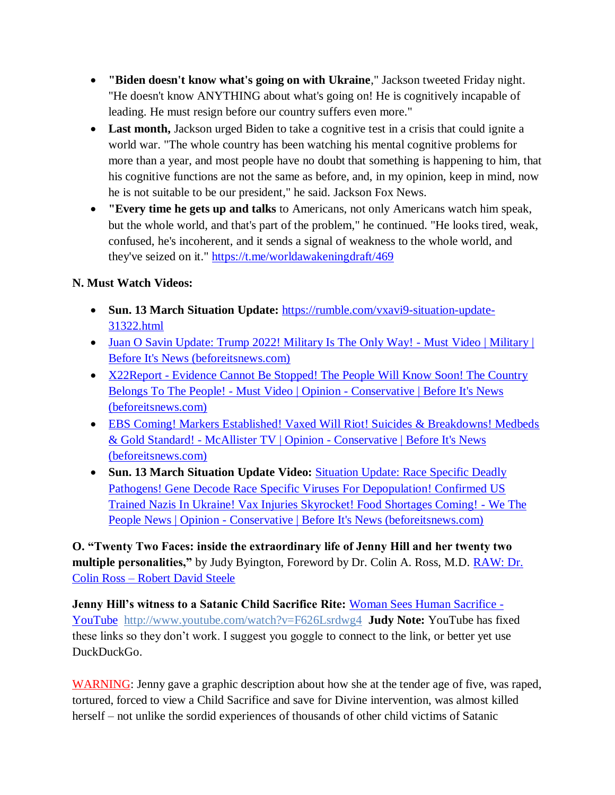- **"Biden doesn't know what's going on with Ukraine**," Jackson tweeted Friday night. "He doesn't know ANYTHING about what's going on! He is cognitively incapable of leading. He must resign before our country suffers even more."
- Last month, Jackson urged Biden to take a cognitive test in a crisis that could ignite a world war. "The whole country has been watching his mental cognitive problems for more than a year, and most people have no doubt that something is happening to him, that his cognitive functions are not the same as before, and, in my opinion, keep in mind, now he is not suitable to be our president," he said. Jackson Fox News.
- **"Every time he gets up and talks** to Americans, not only Americans watch him speak, but the whole world, and that's part of the problem," he continued. "He looks tired, weak, confused, he's incoherent, and it sends a signal of weakness to the whole world, and they've seized on it." <https://t.me/worldawakeningdraft/469>

# **N. Must Watch Videos:**

- **Sun. 13 March Situation Update:** [https://rumble.com/vxavi9-situation-update-](https://rumble.com/vxavi9-situation-update-31322.html)[31322.html](https://rumble.com/vxavi9-situation-update-31322.html)
- [Juan O Savin Update: Trump 2022! Military Is The Only Way! -](https://beforeitsnews.com/military/2022/03/juan-o-savin-update-trump-2022-military-is-the-only-way-must-video-2491837.html) Must Video | Military | [Before It's News \(beforeitsnews.com\)](https://beforeitsnews.com/military/2022/03/juan-o-savin-update-trump-2022-military-is-the-only-way-must-video-2491837.html)
- X22Report Evidence Cannot Be Stopped! The People Will Know Soon! The Country Belongs To The People! - Must Video | Opinion - [Conservative | Before It's News](https://beforeitsnews.com/opinion-conservative/2022/03/x22report-evidence-cannot-be-stopped-the-people-will-know-soon-the-country-belongs-to-the-people-must-video-3622004.html)  [\(beforeitsnews.com\)](https://beforeitsnews.com/opinion-conservative/2022/03/x22report-evidence-cannot-be-stopped-the-people-will-know-soon-the-country-belongs-to-the-people-must-video-3622004.html)
- [EBS Coming! Markers Established! Vaxed Will Riot! Suicides & Breakdowns! Medbeds](https://beforeitsnews.com/opinion-conservative/2022/03/ebs-coming-markers-established-vaxed-will-riot-suicides-breakdowns-medbeds-gold-standard-mcallister-tv-3622018.html)  & Gold Standard! - McAllister TV | Opinion - [Conservative | Before It's News](https://beforeitsnews.com/opinion-conservative/2022/03/ebs-coming-markers-established-vaxed-will-riot-suicides-breakdowns-medbeds-gold-standard-mcallister-tv-3622018.html)  [\(beforeitsnews.com\)](https://beforeitsnews.com/opinion-conservative/2022/03/ebs-coming-markers-established-vaxed-will-riot-suicides-breakdowns-medbeds-gold-standard-mcallister-tv-3622018.html)
- **Sun. 13 March Situation Update Video:** [Situation Update: Race Specific Deadly](https://beforeitsnews.com/opinion-conservative/2022/03/situation-update-race-specific-deadly-pathogens-gene-decode-race-specific-viruses-for-depopulation-confirmed-us-trained-nazis-in-ukraine-vax-injuries-skyrocket-we-the-people-news-3622006.html)  [Pathogens! Gene Decode Race Specific Viruses For Depopulation! Confirmed US](https://beforeitsnews.com/opinion-conservative/2022/03/situation-update-race-specific-deadly-pathogens-gene-decode-race-specific-viruses-for-depopulation-confirmed-us-trained-nazis-in-ukraine-vax-injuries-skyrocket-we-the-people-news-3622006.html)  [Trained Nazis In Ukraine! Vax Injuries Skyrocket! Food Shortages Coming! -](https://beforeitsnews.com/opinion-conservative/2022/03/situation-update-race-specific-deadly-pathogens-gene-decode-race-specific-viruses-for-depopulation-confirmed-us-trained-nazis-in-ukraine-vax-injuries-skyrocket-we-the-people-news-3622006.html) We The People News | Opinion - [Conservative | Before It's News \(beforeitsnews.com\)](https://beforeitsnews.com/opinion-conservative/2022/03/situation-update-race-specific-deadly-pathogens-gene-decode-race-specific-viruses-for-depopulation-confirmed-us-trained-nazis-in-ukraine-vax-injuries-skyrocket-we-the-people-news-3622006.html)

**O. "Twenty Two Faces: inside the extraordinary life of Jenny Hill and her twenty two multiple personalities,"** by Judy Byington, Foreword by Dr. Colin A. Ross, M.D. **RAW: Dr.** Colin Ross – [Robert David Steele](https://robertdavidsteele.com/dr-colin-ross/)

**Jenny Hill's witness to a Satanic Child Sacrifice Rite:** [Woman Sees Human Sacrifice -](https://www.youtube.com/watch?v=F626Lsrdwg4) [YouTube http://www.youtube.com/watch?v=F626Lsrdwg4](https://www.youtube.com/watch?v=F626Lsrdwg4) **Judy Note:** YouTube has fixed these links so they don"t work. I suggest you goggle to connect to the link, or better yet use DuckDuckGo.

WARNING: Jenny gave a graphic description about how she at the tender age of five, was raped, tortured, forced to view a Child Sacrifice and save for Divine intervention, was almost killed herself – not unlike the sordid experiences of thousands of other child victims of Satanic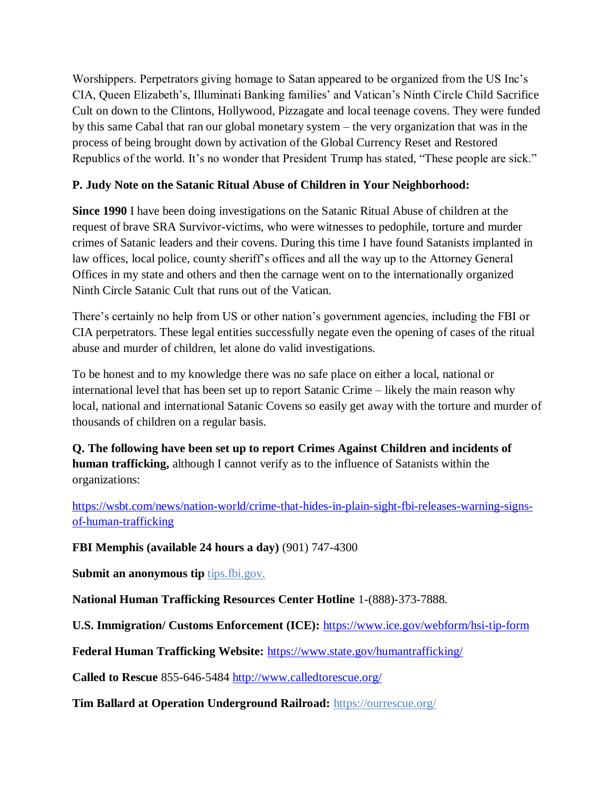Worshippers. Perpetrators giving homage to Satan appeared to be organized from the US Inc"s CIA, Queen Elizabeth"s, Illuminati Banking families" and Vatican"s Ninth Circle Child Sacrifice Cult on down to the Clintons, Hollywood, Pizzagate and local teenage covens. They were funded by this same Cabal that ran our global monetary system – the very organization that was in the process of being brought down by activation of the Global Currency Reset and Restored Republics of the world. It's no wonder that President Trump has stated, "These people are sick."

## **P. Judy Note on the Satanic Ritual Abuse of Children in Your Neighborhood:**

**Since 1990** I have been doing investigations on the Satanic Ritual Abuse of children at the request of brave SRA Survivor-victims, who were witnesses to pedophile, torture and murder crimes of Satanic leaders and their covens. During this time I have found Satanists implanted in law offices, local police, county sheriff's offices and all the way up to the Attorney General Offices in my state and others and then the carnage went on to the internationally organized Ninth Circle Satanic Cult that runs out of the Vatican.

There's certainly no help from US or other nation's government agencies, including the FBI or CIA perpetrators. These legal entities successfully negate even the opening of cases of the ritual abuse and murder of children, let alone do valid investigations.

To be honest and to my knowledge there was no safe place on either a local, national or international level that has been set up to report Satanic Crime – likely the main reason why local, national and international Satanic Covens so easily get away with the torture and murder of thousands of children on a regular basis.

**Q. The following have been set up to report Crimes Against Children and incidents of human trafficking,** although I cannot verify as to the influence of Satanists within the organizations:

[https://wsbt.com/news/nation-world/crime-that-hides-in-plain-sight-fbi-releases-warning-signs](https://wsbt.com/news/nation-world/crime-that-hides-in-plain-sight-fbi-releases-warning-signs-of-human-trafficking?video=e56ba52a1b9d45ad8c8a033fd83fe480&jwsource=cl)[of-human-trafficking](https://wsbt.com/news/nation-world/crime-that-hides-in-plain-sight-fbi-releases-warning-signs-of-human-trafficking?video=e56ba52a1b9d45ad8c8a033fd83fe480&jwsource=cl)

**FBI Memphis (available 24 hours a day)** (901) 747-4300

**Submit an anonymous tip** tips.fbi.gov.

**National Human Trafficking Resources Center Hotline** 1-(888)-373-7888.

**U.S. Immigration/ Customs Enforcement (ICE):** <https://www.ice.gov/webform/hsi-tip-form>

**Federal Human Trafficking Website:** <https://www.state.gov/humantrafficking/>

**Called to Rescue** 855-646-5484 <http://www.calledtorescue.org/>

**Tim Ballard at Operation Underground Railroad:** <https://ourrescue.org/>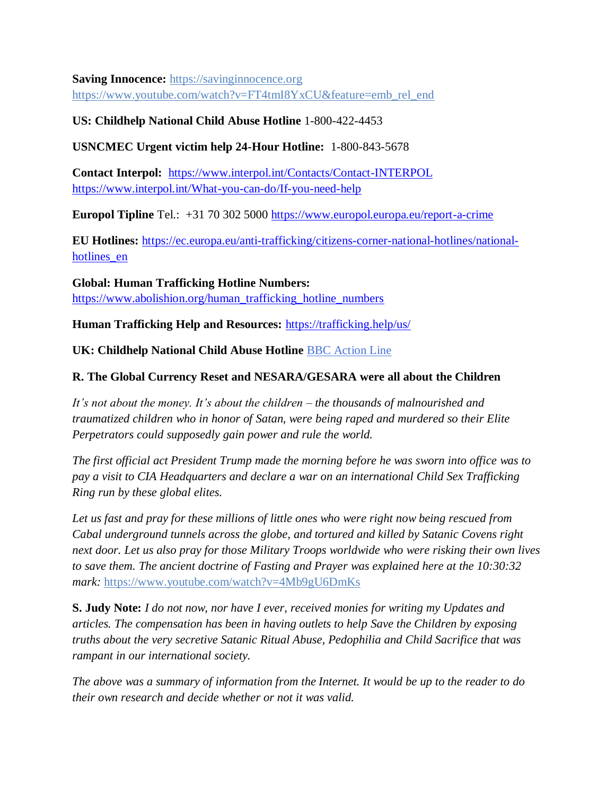**Saving Innocence:** [https://savinginnocence.org](https://savinginnocence.org/) [https://www.youtube.com/watch?v=FT4tmI8YxCU&feature=emb\\_rel\\_end](https://www.youtube.com/watch?v=FT4tmI8YxCU&feature=emb_rel_end)

### **US: Childhelp National Child Abuse Hotline** 1-800-422-4453

**USNCMEC Urgent victim help 24-Hour Hotline:** 1-800-843-5678

**Contact Interpol:** <https://www.interpol.int/Contacts/Contact-INTERPOL> <https://www.interpol.int/What-you-can-do/If-you-need-help>

**Europol Tipline** Tel.: +31 70 302 5000<https://www.europol.europa.eu/report-a-crime>

**EU Hotlines:** [https://ec.europa.eu/anti-trafficking/citizens-corner-national-hotlines/national](https://ec.europa.eu/anti-trafficking/citizens-corner-national-hotlines/national-hotlines_en)hotlines en

**Global: Human Trafficking Hotline Numbers:** [https://www.abolishion.org/human\\_trafficking\\_hotline\\_numbers](https://www.abolishion.org/human_trafficking_hotline_numbers)

**Human Trafficking Help and Resources:** <https://trafficking.help/us/>

**UK: Childhelp National Child Abuse Hotline** [BBC Action Line](https://www.bbc.co.uk/actionline)

### **R. The Global Currency Reset and NESARA/GESARA were all about the Children**

*It's not about the money. It's about the children – the thousands of malnourished and traumatized children who in honor of Satan, were being raped and murdered so their Elite Perpetrators could supposedly gain power and rule the world.* 

*The first official act President Trump made the morning before he was sworn into office was to pay a visit to CIA Headquarters and declare a war on an international Child Sex Trafficking Ring run by these global elites.* 

*Let us fast and pray for these millions of little ones who were right now being rescued from Cabal underground tunnels across the globe, and tortured and killed by Satanic Covens right next door. Let us also pray for those Military Troops worldwide who were risking their own lives to save them. The ancient doctrine of Fasting and Prayer was explained here at the 10:30:32 mark:* <https://www.youtube.com/watch?v=4Mb9gU6DmKs>

**S. Judy Note:** *I do not now, nor have I ever, received monies for writing my Updates and articles. The compensation has been in having outlets to help Save the Children by exposing truths about the very secretive Satanic Ritual Abuse, Pedophilia and Child Sacrifice that was rampant in our international society.*

*The above was a summary of information from the Internet. It would be up to the reader to do their own research and decide whether or not it was valid.*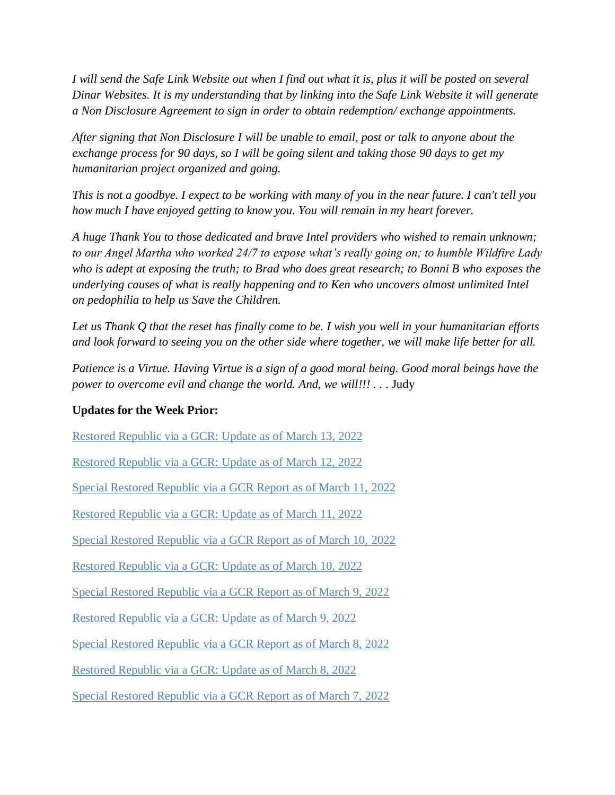*I will send the Safe Link Website out when I find out what it is, plus it will be posted on several Dinar Websites. It is my understanding that by linking into the Safe Link Website it will generate a Non Disclosure Agreement to sign in order to obtain redemption/ exchange appointments.*

*After signing that Non Disclosure I will be unable to email, post or talk to anyone about the exchange process for 90 days, so I will be going silent and taking those 90 days to get my humanitarian project organized and going.*

*This is not a goodbye. I expect to be working with many of you in the near future. I can't tell you how much I have enjoyed getting to know you. You will remain in my heart forever.*

*A huge Thank You to those dedicated and brave Intel providers who wished to remain unknown; to our Angel Martha who worked 24/7 to expose what's really going on; to humble Wildfire Lady who is adept at exposing the truth; to Brad who does great research; to Bonni B who exposes the underlying causes of what is really happening and to Ken who uncovers almost unlimited Intel on pedophilia to help us Save the Children.*

*Let us Thank Q that the reset has finally come to be. I wish you well in your humanitarian efforts and look forward to seeing you on the other side where together, we will make life better for all.*

*Patience is a Virtue. Having Virtue is a sign of a good moral being. Good moral beings have the power to overcome evil and change the world. And, we will!!!* . . . Judy

#### **Updates for the Week Prior:**

[Restored Republic via a GCR: Update as of March 13,](https://operationdisclosureofficial.com/2022/03/13/restored-republic-via-a-gcr-as-of-march-13-2022/) 2022

[Restored Republic via a GCR: Update as of March 12, 2022](https://operationdisclosureofficial.com/2022/03/12/restored-republic-via-a-gcr-as-of-march-12-2022/)

[Special Restored Republic via a GCR Report as of March 11,](https://operationdisclosureofficial.com/2022/03/11/special-restored-republic-via-a-gcr-report-as-of-march-11-2022/) 2022

[Restored Republic via a GCR: Update as of March 11, 2022](https://operationdisclosureofficial.com/2022/03/11/restored-republic-via-a-gcr-as-of-march-11-2022/)

[Special Restored Republic via a GCR Report as of March 10,](https://operationdisclosureofficial.com/2022/03/10/special-restored-republic-via-a-gcr-report-as-of-march-10-2022/) 2022

[Restored Republic via a GCR: Update as of March 10, 2022](https://operationdisclosureofficial.com/2022/03/10/restored-republic-via-a-gcr-as-of-march-10-2022/)

[Special Restored Republic via a GCR Report as of March 9, 2022](https://operationdisclosureofficial.com/2022/03/09/special-restored-republic-via-a-gcr-report-as-of-march-9-2022/)

[Restored Republic via a GCR: Update as of March 9, 2022](https://operationdisclosureofficial.com/2022/03/09/restored-republic-via-a-gcr-as-of-march-9-2022/)

[Special Restored Republic via a GCR Report as of March 8, 2022](https://operationdisclosureofficial.com/2022/03/08/special-restored-republic-via-a-gcr-report-as-of-march-8-2022/)

[Restored Republic via a GCR: Update as of March 8, 2022](https://operationdisclosureofficial.com/2022/03/08/restored-republic-via-a-gcr-as-of-march-8-2022/)

[Special Restored Republic via a GCR Report as of March 7, 2022](https://operationdisclosureofficial.com/2022/03/07/special-restored-republic-via-a-gcr-report-as-of-march-7-2022/)